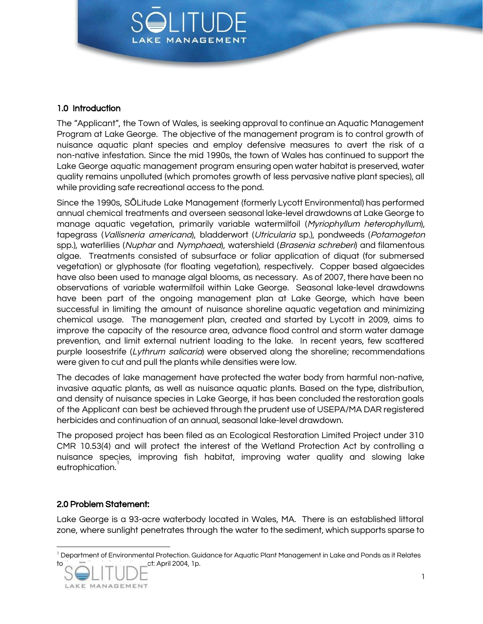

# 1.0 Introduction

The "Applicant", the Town of Wales, is seeking approval to continue an Aquatic Management Program at Lake George. The objective of the management program is to control growth of nuisance aquatic plant species and employ defensive measures to avert the risk of a non-native infestation. Since the mid 1990s, the town of Wales has continued to support the Lake George aquatic management program ensuring open water habitat is preserved, water quality remains unpolluted (which promotes growth of less pervasive native plant species), all while providing safe recreational access to the pond.

Since the 1990s, SŌLitude Lake Management (formerly Lycott Environmental) has performed annual chemical treatments and overseen seasonal lake-level drawdowns at Lake George to manage aquatic vegetation, primarily variable watermilfoil (Myriophyllum heterophyllum), tapegrass (Vallisneria americana), bladderwort (Utricularia sp.), pondweeds (Potamogeton spp.), waterlilies (Nuphar and Nymphaea), watershield (Brasenia schreberi) and filamentous algae. Treatments consisted of subsurface or foliar application of diquat (for submersed vegetation) or glyphosate (for floating vegetation), respectively. Copper based algaecides have also been used to manage algal blooms, as necessary. As of 2007, there have been no observations of variable watermilfoil within Lake George. Seasonal lake-level drawdowns have been part of the ongoing management plan at Lake George, which have been successful in limiting the amount of nuisance shoreline aquatic vegetation and minimizing chemical usage. The management plan, created and started by Lycott in 2009, aims to improve the capacity of the resource area, advance flood control and storm water damage prevention, and limit external nutrient loading to the lake. In recent years, few scattered purple loosestrife (Lythrum salicaria) were observed along the shoreline; recommendations were given to cut and pull the plants while densities were low.

The decades of lake management have protected the water body from harmful non-native, invasive aquatic plants, as well as nuisance aquatic plants. Based on the type, distribution, and density of nuisance species in Lake George, it has been concluded the restoration goals of the Applicant can best be achieved through the prudent use of USEPA/MA DAR registered herbicides and continuation of an annual, seasonal lake-level drawdown.

The proposed project has been filed as an Ecological Restoration Limited Project under 310 CMR 10.53(4) and will protect the interest of the Wetland Protection Act by controlling a nuisance species, improving fish habitat, improving water quality and slowing lake eutrophication. 1

# 2.0 Problem Statement:

Lake George is a 93-acre waterbody located in Wales, MA. There is an established littoral zone, where sunlight penetrates through the water to the sediment, which supports sparse to

<sup>&</sup>lt;sup>1</sup> Department of Environmental Protection. Guidance for Aquatic Plant Management in Lake and Ponds as it Relates ct: April 2004, 1p.

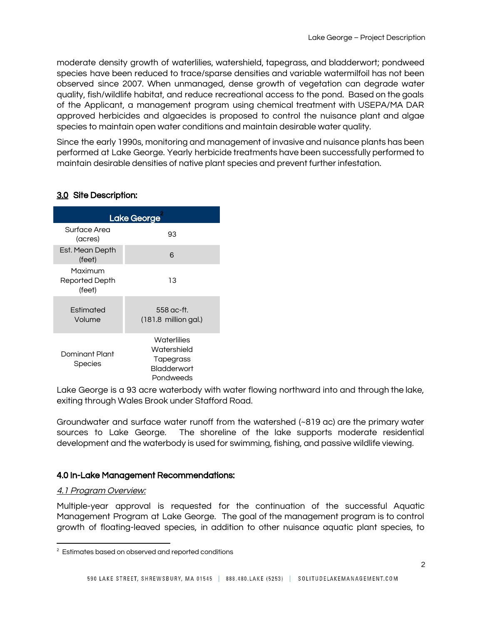moderate density growth of waterlilies, watershield, tapegrass, and bladderwort; pondweed species have been reduced to trace/sparse densities and variable watermilfoil has not been observed since 2007. When unmanaged, dense growth of vegetation can degrade water quality, fish/wildlife habitat, and reduce recreational access to the pond. Based on the goals of the Applicant, a management program using chemical treatment with USEPA/MA DAR approved herbicides and algaecides is proposed to control the nuisance plant and algae species to maintain open water conditions and maintain desirable water quality.

Since the early 1990s, monitoring and management of invasive and nuisance plants has been performed at Lake George. Yearly herbicide treatments have been successfully performed to maintain desirable densities of native plant species and prevent further infestation.

| Lake George                         |                                                                            |
|-------------------------------------|----------------------------------------------------------------------------|
| Surface Area<br>(acres)             | 93                                                                         |
| Est. Mean Depth<br>(feet)           | 6                                                                          |
| Maximum<br>Reported Depth<br>(feet) | 13                                                                         |
| <b>Fstimated</b><br>Volume          | $558$ ac-ft.<br>$(181.8)$ million gal.)                                    |
| Dominant Plant<br>Species           | Waterlilies<br>Watershield<br>Tapegrass<br><b>Bladderwort</b><br>Pondweeds |

# 3.0 Site Description:

Lake George is a 93 acre waterbody with water flowing northward into and through the lake, exiting through Wales Brook under Stafford Road.

Groundwater and surface water runoff from the watershed (~819 ac) are the primary water sources to Lake George. The shoreline of the lake supports moderate residential development and the waterbody is used for swimming, fishing, and passive wildlife viewing.

### 4.0 In-Lake Management Recommendations:

#### 4.1 Program Overview:

Multiple-year approval is requested for the continuation of the successful Aquatic Management Program at Lake George. The goal of the management program is to control growth of floating-leaved species, in addition to other nuisance aquatic plant species, to

<sup>&</sup>lt;sup>2</sup> Estimates based on observed and reported conditions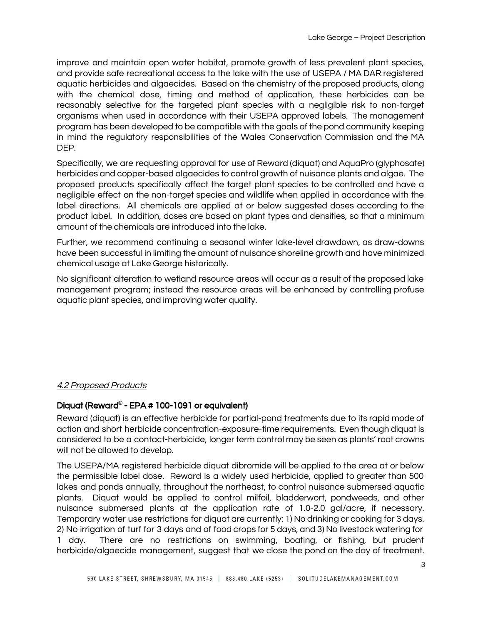improve and maintain open water habitat, promote growth of less prevalent plant species, and provide safe recreational access to the lake with the use of USEPA / MA DAR registered aquatic herbicides and algaecides. Based on the chemistry of the proposed products, along with the chemical dose, timing and method of application, these herbicides can be reasonably selective for the targeted plant species with a negligible risk to non-target organisms when used in accordance with their USEPA approved labels. The management program has been developed to be compatible with the goals of the pond community keeping in mind the regulatory responsibilities of the Wales Conservation Commission and the MA DEP.

Specifically, we are requesting approval for use of Reward (diquat) and AquaPro (glyphosate) herbicides and copper-based algaecides to control growth of nuisance plants and algae. The proposed products specifically affect the target plant species to be controlled and have a negligible effect on the non-target species and wildlife when applied in accordance with the label directions. All chemicals are applied at or below suggested doses according to the product label. In addition, doses are based on plant types and densities, so that a minimum amount of the chemicals are introduced into the lake.

Further, we recommend continuing a seasonal winter lake-level drawdown, as draw-downs have been successful in limiting the amount of nuisance shoreline growth and have minimized chemical usage at Lake George historically.

No significant alteration to wetland resource areas will occur as a result of the proposed lake management program; instead the resource areas will be enhanced by controlling profuse aquatic plant species, and improving water quality.

### 4.2 Proposed Products

## Diquat (Reward**®** - EPA # 100-1091 or equivalent)

Reward (diquat) is an effective herbicide for partial-pond treatments due to its rapid mode of action and short herbicide concentration-exposure-time requirements. Even though diquat is considered to be a contact-herbicide, longer term control may be seen as plants' root crowns will not be allowed to develop.

The USEPA/MA registered herbicide diquat dibromide will be applied to the area at or below the permissible label dose. Reward is a widely used herbicide, applied to greater than 500 lakes and ponds annually, throughout the northeast, to control nuisance submersed aquatic plants. Diquat would be applied to control milfoil, bladderwort, pondweeds, and other nuisance submersed plants at the application rate of 1.0-2.0 gal/acre, if necessary. Temporary water use restrictions for diquat are currently: 1) No drinking or cooking for 3 days. 2) No irrigation of turf for 3 days and of food crops for 5 days, and 3) No livestock watering for 1 day. There are no restrictions on swimming, boating, or fishing, but prudent herbicide/algaecide management, suggest that we close the pond on the day of treatment.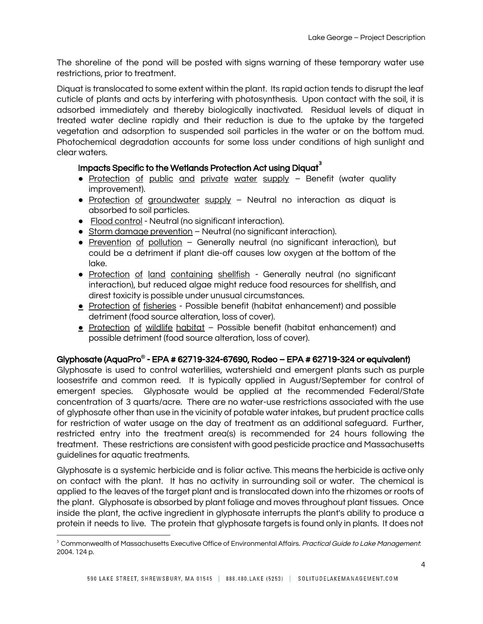The shoreline of the pond will be posted with signs warning of these temporary water use restrictions, prior to treatment.

Diquat is translocated to some extent within the plant. Its rapid action tends to disrupt the leaf cuticle of plants and acts by interfering with photosynthesis. Upon contact with the soil, it is adsorbed immediately and thereby biologically inactivated. Residual levels of diquat in treated water decline rapidly and their reduction is due to the uptake by the targeted vegetation and adsorption to suspended soil particles in the water or on the bottom mud. Photochemical degradation accounts for some loss under conditions of high sunlight and clear waters.

# Impacts Specific to the Wetlands Protection Act using Diquat $^{\rm 3}$

- Protection of public and private water supply Benefit (water quality improvement).
- Protection of groundwater supply Neutral no interaction as diquat is absorbed to soil particles.
- Flood control Neutral (no significant interaction).
- Storm damage prevention Neutral (no significant interaction).
- Prevention of pollution Generally neutral (no significant interaction), but could be a detriment if plant die-off causes low oxygen at the bottom of the lake.
- Protection of land containing shellfish Generally neutral (no significant interaction), but reduced algae might reduce food resources for shellfish, and direst toxicity is possible under unusual circumstances.
- Protection of fisheries Possible benefit (habitat enhancement) and possible detriment (food source alteration, loss of cover).
- Protection of wildlife habitat Possible benefit (habitat enhancement) and possible detriment (food source alteration, loss of cover).

# Glyphosate (AquaPro**®** - EPA # 62719-324-67690, Rodeo – EPA # 62719-324 or equivalent)

Glyphosate is used to control waterlilies, watershield and emergent plants such as purple loosestrife and common reed. It is typically applied in August/September for control of emergent species. Glyphosate would be applied at the recommended Federal/State concentration of 3 quarts/acre. There are no water-use restrictions associated with the use of glyphosate other than use in the vicinity of potable water intakes, but prudent practice calls for restriction of water usage on the day of treatment as an additional safeguard. Further, restricted entry into the treatment area(s) is recommended for 24 hours following the treatment. These restrictions are consistent with good pesticide practice and Massachusetts guidelines for aquatic treatments.

Glyphosate is a systemic herbicide and is foliar active. This means the herbicide is active only on contact with the plant. It has no activity in surrounding soil or water. The chemical is applied to the leaves of the target plant and is translocated down into the rhizomes or roots of the plant. Glyphosate is absorbed by plant foliage and moves throughout plant tissues. Once inside the plant, the active ingredient in glyphosate interrupts the plant's ability to produce a protein it needs to live. The protein that glyphosate targets is found only in plants. It does not

<sup>&</sup>lt;sup>3</sup> Commonwealth of Massachusetts Executive Office of Environmental Affairs. Practical Guide to Lake Management: 2004. 124 p.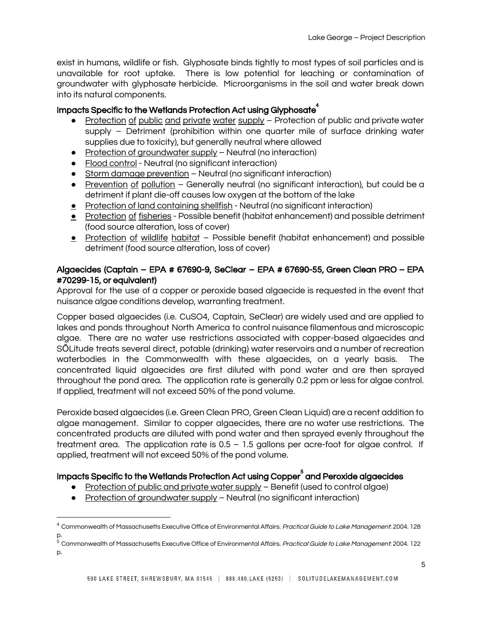exist in humans, wildlife or fish. Glyphosate binds tightly to most types of soil particles and is unavailable for root uptake. There is low potential for leaching or contamination of groundwater with glyphosate herbicide. Microorganisms in the soil and water break down into its natural components.

# Impacts Specific to the Wetlands Protection Act using Glyphosate $^\text{4}$

- Protection of public and private water supply Protection of public and private water supply – Detriment (prohibition within one quarter mile of surface drinking water supplies due to toxicity), but generally neutral where allowed
- Protection of groundwater supply Neutral (no interaction)
- Flood control Neutral (no significant interaction)
- Storm damage prevention Neutral (no significant interaction)
- Prevention of pollution Generally neutral (no significant interaction), but could be a detriment if plant die-off causes low oxygen at the bottom of the lake
- Protection of land containing shellfish Neutral (no significant interaction)
- Protection of fisheries Possible benefit (habitat enhancement) and possible detriment (food source alteration, loss of cover)
- **•** Protection of wildlife habitat Possible benefit (habitat enhancement) and possible detriment (food source alteration, loss of cover)

# Algaecides (Captain – EPA # 67690-9, SeClear – EPA # 67690-55, Green Clean PRO – EPA #70299-15, or equivalent)

Approval for the use of a copper or peroxide based algaecide is requested in the event that nuisance algae conditions develop, warranting treatment.

Copper based algaecides (i.e. CuSO4, Captain, SeClear) are widely used and are applied to lakes and ponds throughout North America to control nuisance filamentous and microscopic algae. There are no water use restrictions associated with copper-based algaecides and SŌLitude treats several direct, potable (drinking) water reservoirs and a number of recreation waterbodies in the Commonwealth with these algaecides, on a yearly basis. The concentrated liquid algaecides are first diluted with pond water and are then sprayed throughout the pond area. The application rate is generally 0.2 ppm or less for algae control. If applied, treatment will not exceed 50% of the pond volume.

Peroxide based algaecides (i.e. Green Clean PRO, Green Clean Liquid) are a recent addition to algae management. Similar to copper algaecides, there are no water use restrictions. The concentrated products are diluted with pond water and then sprayed evenly throughout the treatment area. The application rate is 0.5 – 1.5 gallons per acre-foot for algae control. If applied, treatment will not exceed 50% of the pond volume.

# Impacts Specific to the Wetlands Protection Act using Copper<sup>s</sup> and Peroxide algaecides

- Protection of public and private water supply Benefit (used to control algae)
- Protection of groundwater supply Neutral (no significant interaction)

<sup>&</sup>lt;sup>4</sup> Commonwealth of Massachusetts Executive Office of Environmental Affairs. Practical Guide to Lake Management: 2004. 128 p.

<sup>5</sup> Commonwealth of Massachusetts Executive Office of Environmental Affairs. Practical Guide to Lake Management: 2004. 122 p.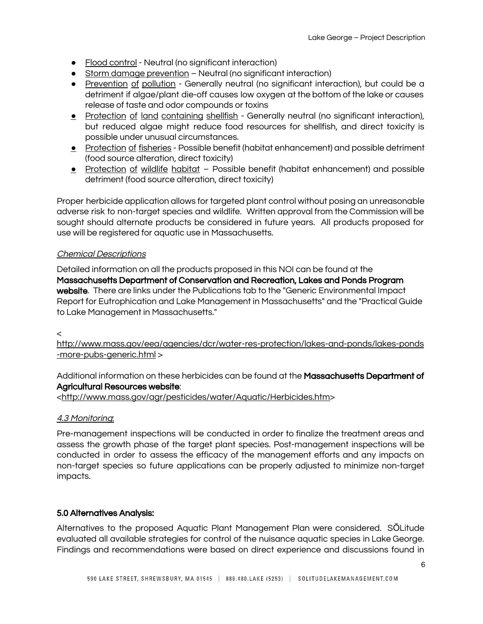- Flood control Neutral (no significant interaction)
- Storm damage prevention Neutral (no significant interaction)
- Prevention of pollution Generally neutral (no significant interaction), but could be a detriment if algae/plant die-off causes low oxygen at the bottom of the lake or causes release of taste and odor compounds or toxins
- **•** Protection of land containing shellfish Generally neutral (no significant interaction), but reduced algae might reduce food resources for shellfish, and direct toxicity is possible under unusual circumstances.
- Protection of fisheries Possible benefit (habitat enhancement) and possible detriment (food source alteration, direct toxicity)
- Protection of wildlife habitat Possible benefit (habitat enhancement) and possible detriment (food source alteration, direct toxicity)

Proper herbicide application allows for targeted plant control without posing an unreasonable adverse risk to non-target species and wildlife. Written approval from the Commission will be sought should alternate products be considered in future years. All products proposed for use will be registered for aquatic use in Massachusetts.

## Chemical Descriptions

Detailed information on all the products proposed in this NOI can be found at the Massachusetts Department of Conservation and Recreation, Lakes and Ponds Program website. There are links under the Publications tab to the "Generic Environmental Impact Report for Eutrophication and Lake Management in Massachusetts" and the "Practical Guide to Lake Management in Massachusetts."

### $\epsilon$

http://www.mass.gov/eea/agencies/dcr/water-res-protection/lakes-and-ponds/lakes-ponds -more-pubs-generic.html >

Additional information on these herbicides can be found at the **Massachusetts Department of** Agricultural Resources website:

[<http://www.mass.gov/agr/pesticides/water/Aquatic/Herbicides.htm>](http://www.mass.gov/agr/pesticides/water/Aquatic/Herbicides.htm)

## 4.3 Monitoring:

Pre-management inspections will be conducted in order to finalize the treatment areas and assess the growth phase of the target plant species. Post-management inspections will be conducted in order to assess the efficacy of the management efforts and any impacts on non-target species so future applications can be properly adjusted to minimize non-target impacts.

## 5.0 Alternatives Analysis:

Alternatives to the proposed Aquatic Plant Management Plan were considered. SŌLitude evaluated all available strategies for control of the nuisance aquatic species in Lake George. Findings and recommendations were based on direct experience and discussions found in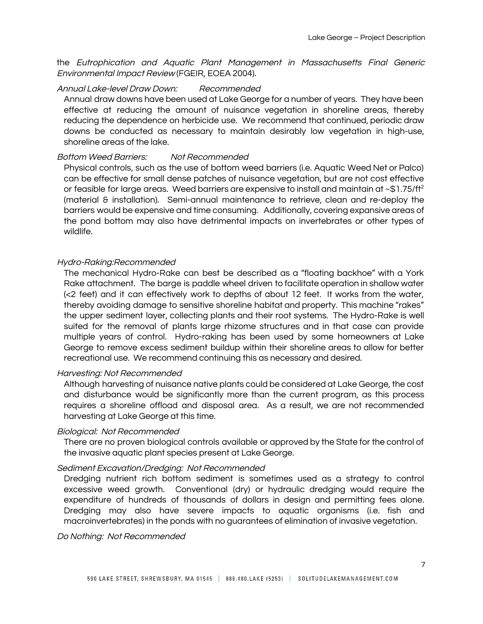the Eutrophication and Aquatic Plant Management in Massachusetts Final Generic Environmental Impact Review (FGEIR, EOEA 2004).

#### Annual Lake-level Draw Down: Recommended

Annual draw downs have been used at Lake George for a number of years. They have been effective at reducing the amount of nuisance vegetation in shoreline areas, thereby reducing the dependence on herbicide use. We recommend that continued, periodic draw downs be conducted as necessary to maintain desirably low vegetation in high-use, shoreline areas of the lake.

#### Bottom Weed Barriers: Not Recommended

Physical controls, such as the use of bottom weed barriers (i.e. Aquatic Weed Net or Palco) can be effective for small dense patches of nuisance vegetation, but are not cost effective or feasible for large areas. Weed barriers are expensive to install and maintain at ~\$1.75/ft<sup>2</sup> (material & installation). Semi-annual maintenance to retrieve, clean and re-deploy the barriers would be expensive and time consuming. Additionally, covering expansive areas of the pond bottom may also have detrimental impacts on invertebrates or other types of wildlife.

#### Hydro-Raking:Recommended

The mechanical Hydro-Rake can best be described as a "floating backhoe" with a York Rake attachment. The barge is paddle wheel driven to facilitate operation in shallow water (<2 feet) and it can effectively work to depths of about 12 feet. It works from the water, thereby avoiding damage to sensitive shoreline habitat and property. This machine "rakes" the upper sediment layer, collecting plants and their root systems. The Hydro-Rake is well suited for the removal of plants large rhizome structures and in that case can provide multiple years of control. Hydro-raking has been used by some homeowners at Lake George to remove excess sediment buildup within their shoreline areas to allow for better recreational use. We recommend continuing this as necessary and desired.

### Harvesting: Not Recommended

Although harvesting of nuisance native plants could be considered at Lake George, the cost and disturbance would be significantly more than the current program, as this process requires a shoreline offload and disposal area. As a result, we are not recommended harvesting at Lake George at this time.

#### Biological: Not Recommended

There are no proven biological controls available or approved by the State for the control of the invasive aquatic plant species present at Lake George.

#### Sediment Excavation/Dredging: Not Recommended

Dredging nutrient rich bottom sediment is sometimes used as a strategy to control excessive weed growth. Conventional (dry) or hydraulic dredging would require the expenditure of hundreds of thousands of dollars in design and permitting fees alone. Dredging may also have severe impacts to aquatic organisms (i.e. fish and macroinvertebrates) in the ponds with no guarantees of elimination of invasive vegetation.

Do Nothing: Not Recommended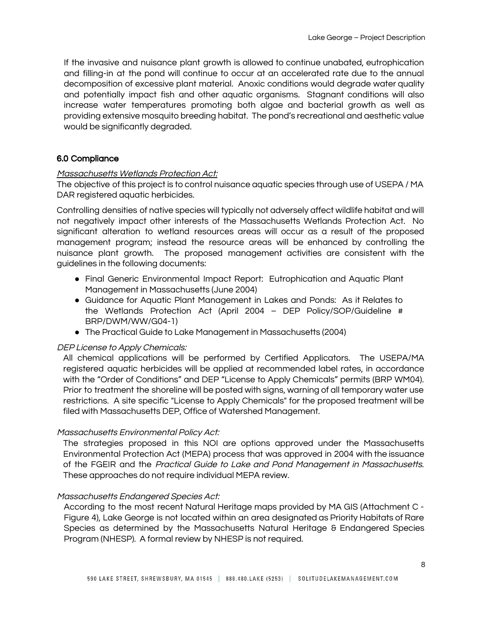If the invasive and nuisance plant growth is allowed to continue unabated, eutrophication and filling-in at the pond will continue to occur at an accelerated rate due to the annual decomposition of excessive plant material. Anoxic conditions would degrade water quality and potentially impact fish and other aquatic organisms. Stagnant conditions will also increase water temperatures promoting both algae and bacterial growth as well as providing extensive mosquito breeding habitat. The pond's recreational and aesthetic value would be significantly degraded.

### 6.0 Compliance

#### Massachusetts Wetlands Protection Act:

The objective of this project is to control nuisance aquatic species through use of USEPA / MA DAR registered aquatic herbicides.

Controlling densities of native species will typically not adversely affect wildlife habitat and will not negatively impact other interests of the Massachusetts Wetlands Protection Act. No significant alteration to wetland resources areas will occur as a result of the proposed management program; instead the resource areas will be enhanced by controlling the nuisance plant growth. The proposed management activities are consistent with the guidelines in the following documents:

- Final Generic Environmental Impact Report: Eutrophication and Aquatic Plant Management in Massachusetts (June 2004)
- Guidance for Aquatic Plant Management in Lakes and Ponds: As it Relates to the Wetlands Protection Act (April 2004 – DEP Policy/SOP/Guideline # BRP/DWM/WW/G04-1)
- The Practical Guide to Lake Management in Massachusetts (2004)

### DEP License to Apply Chemicals:

All chemical applications will be performed by Certified Applicators. The USEPA/MA registered aquatic herbicides will be applied at recommended label rates, in accordance with the "Order of Conditions" and DEP "License to Apply Chemicals" permits (BRP WM04). Prior to treatment the shoreline will be posted with signs, warning of all temporary water use restrictions. A site specific "License to Apply Chemicals" for the proposed treatment will be filed with Massachusetts DEP, Office of Watershed Management.

#### Massachusetts Environmental Policy Act:

The strategies proposed in this NOI are options approved under the Massachusetts Environmental Protection Act (MEPA) process that was approved in 2004 with the issuance of the FGEIR and the Practical Guide to Lake and Pond Management in Massachusetts. These approaches do not require individual MEPA review.

### Massachusetts Endangered Species Act:

According to the most recent Natural Heritage maps provided by MA GIS (Attachment C - Figure 4), Lake George is not located within an area designated as Priority Habitats of Rare Species as determined by the Massachusetts Natural Heritage & Endangered Species Program (NHESP). A formal review by NHESP is not required.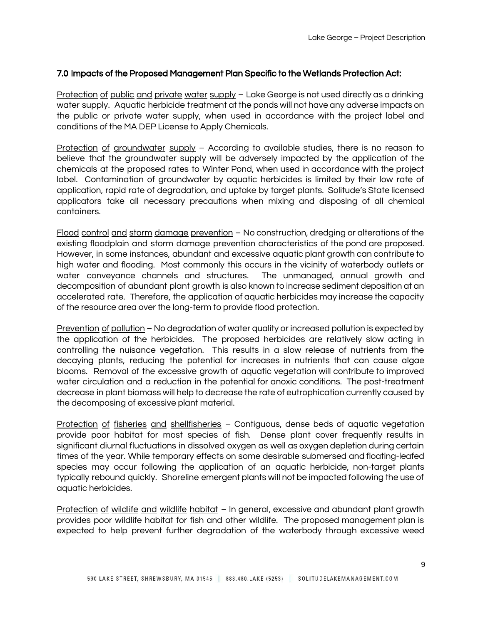## 7.0 Impacts of the Proposed Management Plan Specific to the Wetlands Protection Act:

Protection of public and private water supply - Lake George is not used directly as a drinking water supply. Aquatic herbicide treatment at the ponds will not have any adverse impacts on the public or private water supply, when used in accordance with the project label and conditions of the MA DEP License to Apply Chemicals.

Protection of groundwater supply – According to available studies, there is no reason to believe that the groundwater supply will be adversely impacted by the application of the chemicals at the proposed rates to Winter Pond, when used in accordance with the project label. Contamination of groundwater by aquatic herbicides is limited by their low rate of application, rapid rate of degradation, and uptake by target plants. Solitude's State licensed applicators take all necessary precautions when mixing and disposing of all chemical containers.

Flood control and storm damage prevention – No construction, dredging or alterations of the existing floodplain and storm damage prevention characteristics of the pond are proposed. However, in some instances, abundant and excessive aquatic plant growth can contribute to high water and flooding. Most commonly this occurs in the vicinity of waterbody outlets or water conveyance channels and structures. The unmanaged, annual growth and decomposition of abundant plant growth is also known to increase sediment deposition at an accelerated rate. Therefore, the application of aquatic herbicides may increase the capacity of the resource area over the long-term to provide flood protection.

Prevention of pollution - No degradation of water quality or increased pollution is expected by the application of the herbicides. The proposed herbicides are relatively slow acting in controlling the nuisance vegetation. This results in a slow release of nutrients from the decaying plants, reducing the potential for increases in nutrients that can cause algae blooms. Removal of the excessive growth of aquatic vegetation will contribute to improved water circulation and a reduction in the potential for anoxic conditions. The post-treatment decrease in plant biomass will help to decrease the rate of eutrophication currently caused by the decomposing of excessive plant material.

Protection of fisheries and shellfisheries - Contiguous, dense beds of aquatic vegetation provide poor habitat for most species of fish. Dense plant cover frequently results in significant diurnal fluctuations in dissolved oxygen as well as oxygen depletion during certain times of the year. While temporary effects on some desirable submersed and floating-leafed species may occur following the application of an aquatic herbicide, non-target plants typically rebound quickly. Shoreline emergent plants will not be impacted following the use of aquatic herbicides.

Protection of wildlife and wildlife habitat – In general, excessive and abundant plant growth provides poor wildlife habitat for fish and other wildlife. The proposed management plan is expected to help prevent further degradation of the waterbody through excessive weed